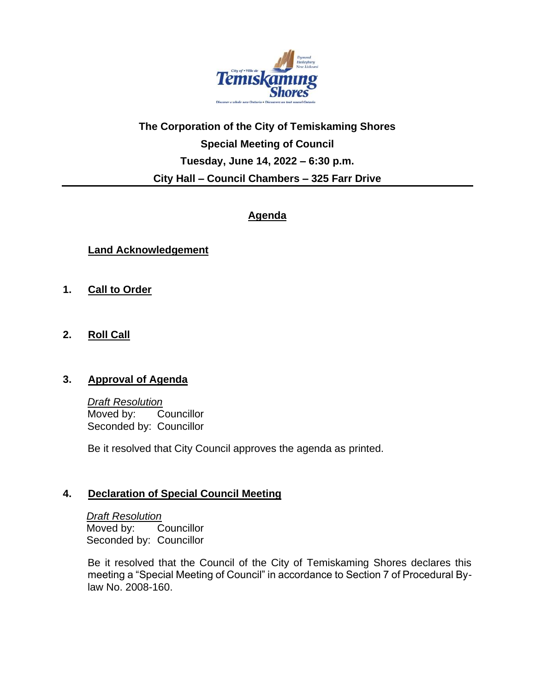

# **The Corporation of the City of Temiskaming Shores Special Meeting of Council Tuesday, June 14, 2022 – 6:30 p.m. City Hall – Council Chambers – 325 Farr Drive**

# **Agenda**

## **Land Acknowledgement**

- **1. Call to Order**
- **2. Roll Call**

#### **3. Approval of Agenda**

*Draft Resolution* Moved by: Councillor Seconded by: Councillor

Be it resolved that City Council approves the agenda as printed.

#### **4. Declaration of Special Council Meeting**

*Draft Resolution* Moved by: Councillor Seconded by: Councillor

Be it resolved that the Council of the City of Temiskaming Shores declares this meeting a "Special Meeting of Council" in accordance to Section 7 of Procedural Bylaw No. 2008-160.